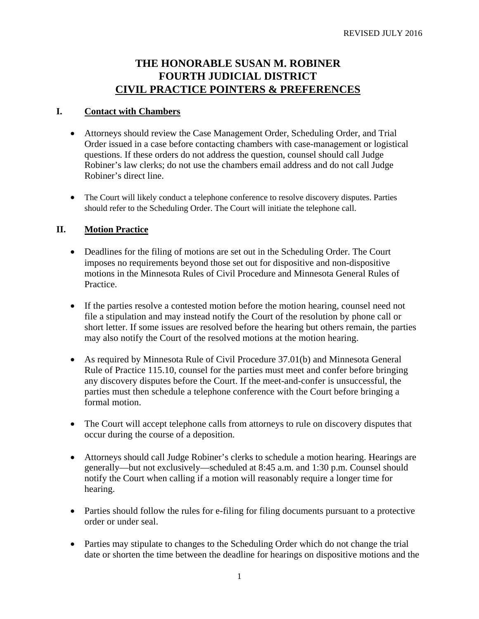# **THE HONORABLE SUSAN M. ROBINER FOURTH JUDICIAL DISTRICT CIVIL PRACTICE POINTERS & PREFERENCES**

#### **I. Contact with Chambers**

- Attorneys should review the Case Management Order, Scheduling Order, and Trial Order issued in a case before contacting chambers with case-management or logistical questions. If these orders do not address the question, counsel should call Judge Robiner's law clerks; do not use the chambers email address and do not call Judge Robiner's direct line.
- The Court will likely conduct a telephone conference to resolve discovery disputes. Parties should refer to the Scheduling Order. The Court will initiate the telephone call.

#### **II. Motion Practice**

- Deadlines for the filing of motions are set out in the Scheduling Order. The Court imposes no requirements beyond those set out for dispositive and non-dispositive motions in the Minnesota Rules of Civil Procedure and Minnesota General Rules of Practice.
- If the parties resolve a contested motion before the motion hearing, counsel need not file a stipulation and may instead notify the Court of the resolution by phone call or short letter. If some issues are resolved before the hearing but others remain, the parties may also notify the Court of the resolved motions at the motion hearing.
- As required by Minnesota Rule of Civil Procedure 37.01(b) and Minnesota General Rule of Practice 115.10, counsel for the parties must meet and confer before bringing any discovery disputes before the Court. If the meet-and-confer is unsuccessful, the parties must then schedule a telephone conference with the Court before bringing a formal motion.
- The Court will accept telephone calls from attorneys to rule on discovery disputes that occur during the course of a deposition.
- Attorneys should call Judge Robiner's clerks to schedule a motion hearing. Hearings are generally—but not exclusively—scheduled at 8:45 a.m. and 1:30 p.m. Counsel should notify the Court when calling if a motion will reasonably require a longer time for hearing.
- Parties should follow the rules for e-filing for filing documents pursuant to a protective order or under seal.
- Parties may stipulate to changes to the Scheduling Order which do not change the trial date or shorten the time between the deadline for hearings on dispositive motions and the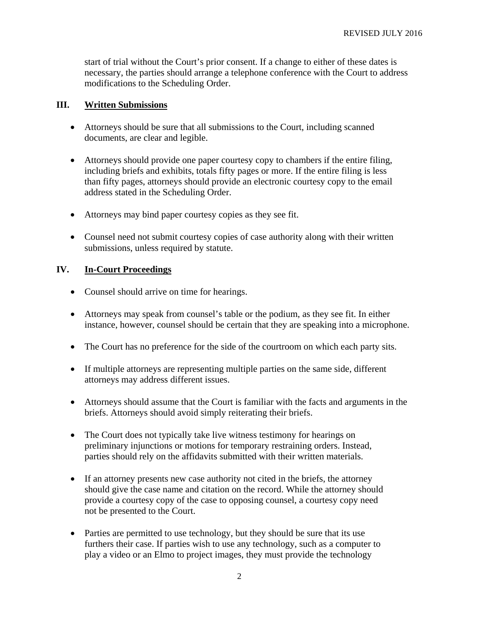start of trial without the Court's prior consent. If a change to either of these dates is necessary, the parties should arrange a telephone conference with the Court to address modifications to the Scheduling Order.

### **III. Written Submissions**

- Attorneys should be sure that all submissions to the Court, including scanned documents, are clear and legible.
- Attorneys should provide one paper courtesy copy to chambers if the entire filing, including briefs and exhibits, totals fifty pages or more. If the entire filing is less than fifty pages, attorneys should provide an electronic courtesy copy to the email address stated in the Scheduling Order.
- Attorneys may bind paper courtesy copies as they see fit.
- Counsel need not submit courtesy copies of case authority along with their written submissions, unless required by statute.

## **IV. In-Court Proceedings**

- Counsel should arrive on time for hearings.
- Attorneys may speak from counsel's table or the podium, as they see fit. In either instance, however, counsel should be certain that they are speaking into a microphone.
- The Court has no preference for the side of the courtroom on which each party sits.
- If multiple attorneys are representing multiple parties on the same side, different attorneys may address different issues.
- Attorneys should assume that the Court is familiar with the facts and arguments in the briefs. Attorneys should avoid simply reiterating their briefs.
- The Court does not typically take live witness testimony for hearings on preliminary injunctions or motions for temporary restraining orders. Instead, parties should rely on the affidavits submitted with their written materials.
- If an attorney presents new case authority not cited in the briefs, the attorney should give the case name and citation on the record. While the attorney should provide a courtesy copy of the case to opposing counsel, a courtesy copy need not be presented to the Court.
- Parties are permitted to use technology, but they should be sure that its use furthers their case. If parties wish to use any technology, such as a computer to play a video or an Elmo to project images, they must provide the technology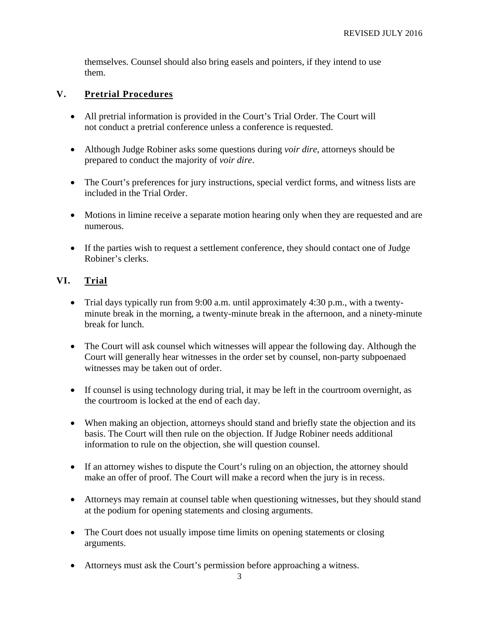themselves. Counsel should also bring easels and pointers, if they intend to use them.

## **V. Pretrial Procedures**

- All pretrial information is provided in the Court's Trial Order. The Court will not conduct a pretrial conference unless a conference is requested.
- Although Judge Robiner asks some questions during *voir dire*, attorneys should be prepared to conduct the majority of *voir dire*.
- The Court's preferences for jury instructions, special verdict forms, and witness lists are included in the Trial Order.
- Motions in limine receive a separate motion hearing only when they are requested and are numerous.
- If the parties wish to request a settlement conference, they should contact one of Judge Robiner's clerks.

# **VI. Trial**

- Trial days typically run from 9:00 a.m. until approximately 4:30 p.m., with a twentyminute break in the morning, a twenty-minute break in the afternoon, and a ninety-minute break for lunch.
- The Court will ask counsel which witnesses will appear the following day. Although the Court will generally hear witnesses in the order set by counsel, non-party subpoenaed witnesses may be taken out of order.
- If counsel is using technology during trial, it may be left in the courtroom overnight, as the courtroom is locked at the end of each day.
- When making an objection, attorneys should stand and briefly state the objection and its basis. The Court will then rule on the objection. If Judge Robiner needs additional information to rule on the objection, she will question counsel.
- If an attorney wishes to dispute the Court's ruling on an objection, the attorney should make an offer of proof. The Court will make a record when the jury is in recess.
- Attorneys may remain at counsel table when questioning witnesses, but they should stand at the podium for opening statements and closing arguments.
- The Court does not usually impose time limits on opening statements or closing arguments.
- Attorneys must ask the Court's permission before approaching a witness.